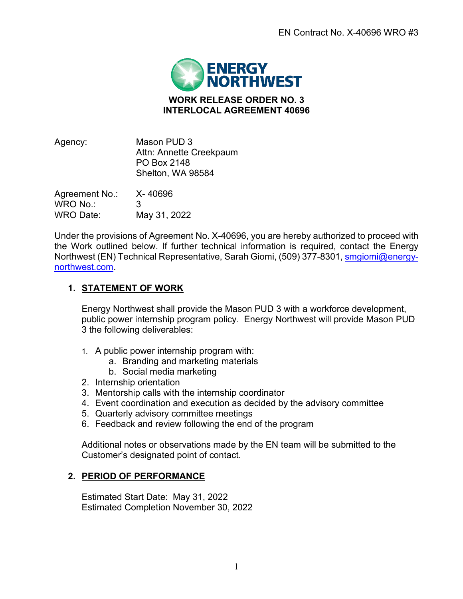

## **WORK RELEASE ORDER NO. 3 INTERLOCAL AGREEMENT 40696**

| Agency:        | Mason PUD 3<br>Attn: Annette Creekpaum<br>PO Box 2148<br>Shelton, WA 98584 |
|----------------|----------------------------------------------------------------------------|
| Agreement No.: | X-40696                                                                    |
| WRO No.:       | 3                                                                          |
| WRO Date:      | May 31, 2022                                                               |

Under the provisions of Agreement No. X-40696, you are hereby authorized to proceed with the Work outlined below. If further technical information is required, contact the Energy Northwest (EN) Technical Representative, Sarah Giomi, (509) 377-8301, [smgiomi@energy](mailto:smgiomi@energy-northwest.com)[northwest.com.](mailto:smgiomi@energy-northwest.com)

# **1. STATEMENT OF WORK**

Energy Northwest shall provide the Mason PUD 3 with a workforce development, public power internship program policy. Energy Northwest will provide Mason PUD 3 the following deliverables:

- 1. A public power internship program with:
	- a. Branding and marketing materials
	- b. Social media marketing
- 2. Internship orientation
- 3. Mentorship calls with the internship coordinator
- 4. Event coordination and execution as decided by the advisory committee
- 5. Quarterly advisory committee meetings
- 6. Feedback and review following the end of the program

Additional notes or observations made by the EN team will be submitted to the Customer's designated point of contact.

### **2. PERIOD OF PERFORMANCE**

Estimated Start Date: May 31, 2022 Estimated Completion November 30, 2022